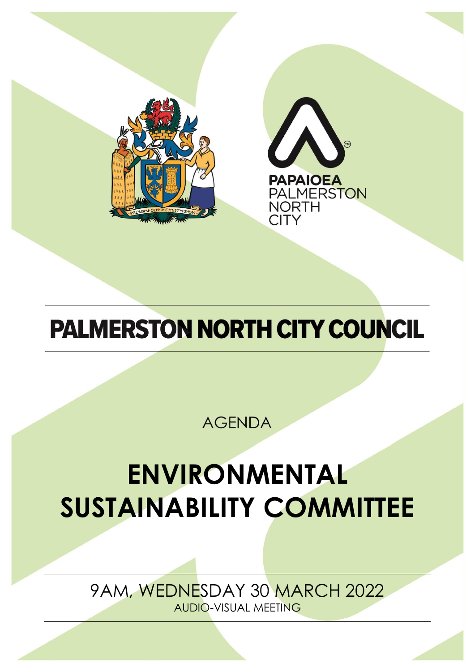



# **PALMERSTON NORTH CITY COUNCIL**

**AGENDA** 

# **ENVIRONMENTAL SUSTAINABILITY COMMITTEE**

9AM, WEDNESDAY 30 MARCH 2022 AUDIO-VISUAL MEETING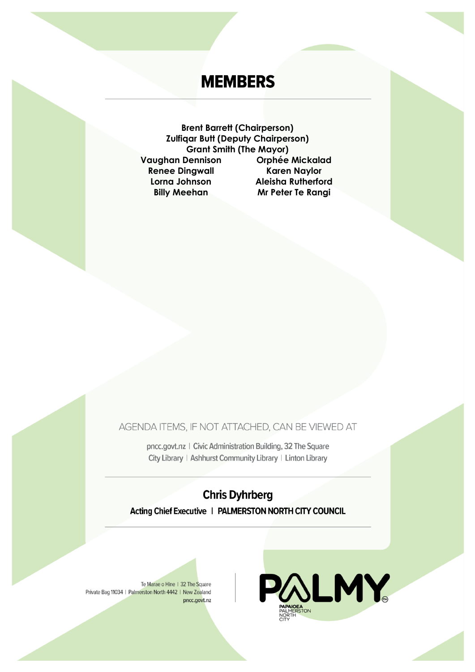# **MEMBERS**

**Brent Barrett (Chairperson) Zulfiqar Butt (Deputy Chairperson) Grant Smith (The Mayor) Vaughan Dennison Orphée Mickalad Renee Dingwall Karen Naylor** Lorna Johnson **Aleisha Rutherford Billy Meehan** Mr Peter Te Rangi

AGENDA ITEMS, IF NOT ATTACHED, CAN BE VIEWED AT

pncc.govt.nz | Civic Administration Building, 32 The Square City Library | Ashhurst Community Library | Linton Library

**Chris Dyhrberg** Acting Chief Executive | PALMERSTON NORTH CITY COUNCIL

Te Marae o Hine | 32 The Square Private Bag 11034 | Palmerston North 4442 | New Zealand pncc.govt.nz

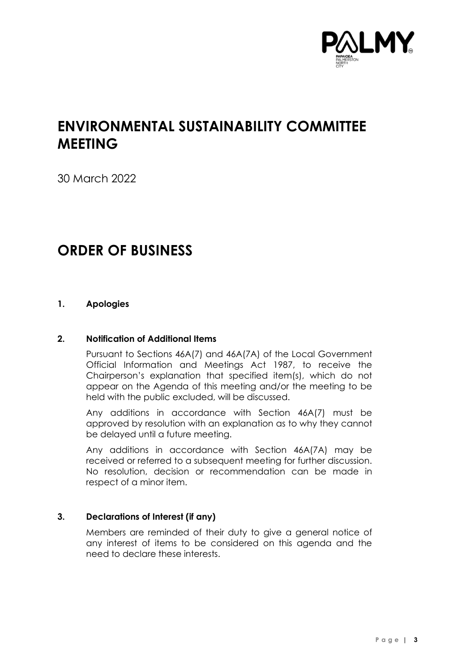

# **ENVIRONMENTAL SUSTAINABILITY COMMITTEE MEETING**

30 March 2022

## **ORDER OF BUSINESS**

#### **1. Apologies**

#### **2. Notification of Additional Items**

Pursuant to Sections 46A(7) and 46A(7A) of the Local Government Official Information and Meetings Act 1987, to receive the Chairperson's explanation that specified item(s), which do not appear on the Agenda of this meeting and/or the meeting to be held with the public excluded, will be discussed.

Any additions in accordance with Section 46A(7) must be approved by resolution with an explanation as to why they cannot be delayed until a future meeting.

Any additions in accordance with Section 46A(7A) may be received or referred to a subsequent meeting for further discussion. No resolution, decision or recommendation can be made in respect of a minor item.

#### **3. Declarations of Interest (if any)**

Members are reminded of their duty to give a general notice of any interest of items to be considered on this agenda and the need to declare these interests.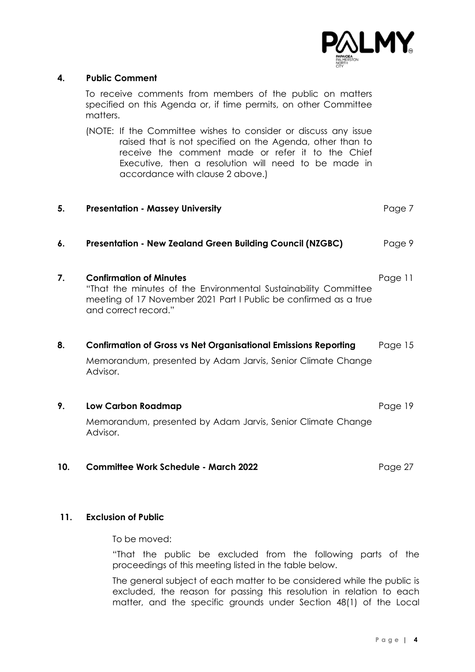

#### **4. Public Comment**

To receive comments from members of the public on matters specified on this Agenda or, if time permits, on other Committee matters.

(NOTE: If the Committee wishes to consider or discuss any issue raised that is not specified on the Agenda, other than to receive the comment made or refer it to the Chief Executive, then a resolution will need to be made in accordance with clause 2 above.)

| 5.  | <b>Presentation - Massey University</b>                                                                                                                                                       | Page 7  |
|-----|-----------------------------------------------------------------------------------------------------------------------------------------------------------------------------------------------|---------|
| 6.  | <b>Presentation - New Zealand Green Building Council (NZGBC)</b>                                                                                                                              | Page 9  |
| 7.  | <b>Confirmation of Minutes</b><br>"That the minutes of the Environmental Sustainability Committee<br>meeting of 17 November 2021 Part I Public be confirmed as a true<br>and correct record." | Page 11 |
| 8.  | <b>Confirmation of Gross vs Net Organisational Emissions Reporting</b><br>Memorandum, presented by Adam Jarvis, Senior Climate Change<br>Advisor.                                             | Page 15 |
| 9.  | <b>Low Carbon Roadmap</b><br>Memorandum, presented by Adam Jarvis, Senior Climate Change<br>Advisor.                                                                                          | Page 19 |
| 10. | <b>Committee Work Schedule - March 2022</b>                                                                                                                                                   | Page 27 |

#### **11. Exclusion of Public**

To be moved:

"That the public be excluded from the following parts of the proceedings of this meeting listed in the table below.

The general subject of each matter to be considered while the public is excluded, the reason for passing this resolution in relation to each matter, and the specific grounds under Section 48(1) of the Local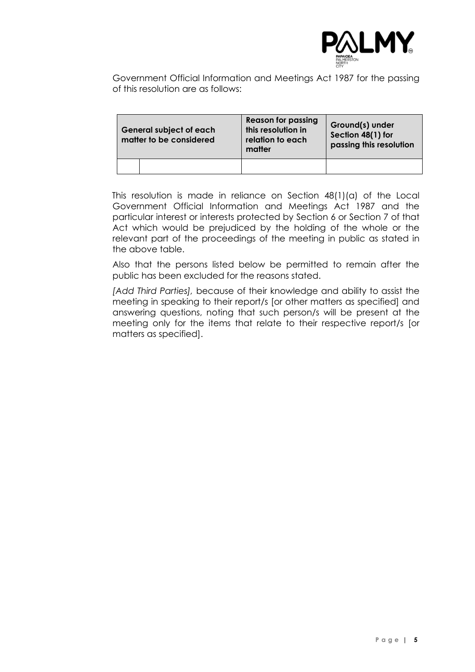

Government Official Information and Meetings Act 1987 for the passing of this resolution are as follows:

| <b>General subject of each</b><br>matter to be considered | <b>Reason for passing</b><br>this resolution in<br>relation to each<br>matter | Ground(s) under<br>Section 48(1) for<br>passing this resolution |
|-----------------------------------------------------------|-------------------------------------------------------------------------------|-----------------------------------------------------------------|
|                                                           |                                                                               |                                                                 |

This resolution is made in reliance on Section 48(1)(a) of the Local Government Official Information and Meetings Act 1987 and the particular interest or interests protected by Section 6 or Section 7 of that Act which would be prejudiced by the holding of the whole or the relevant part of the proceedings of the meeting in public as stated in the above table.

Also that the persons listed below be permitted to remain after the public has been excluded for the reasons stated.

*[Add Third Parties],* because of their knowledge and ability to assist the meeting in speaking to their report/s [or other matters as specified] and answering questions, noting that such person/s will be present at the meeting only for the items that relate to their respective report/s [or matters as specified].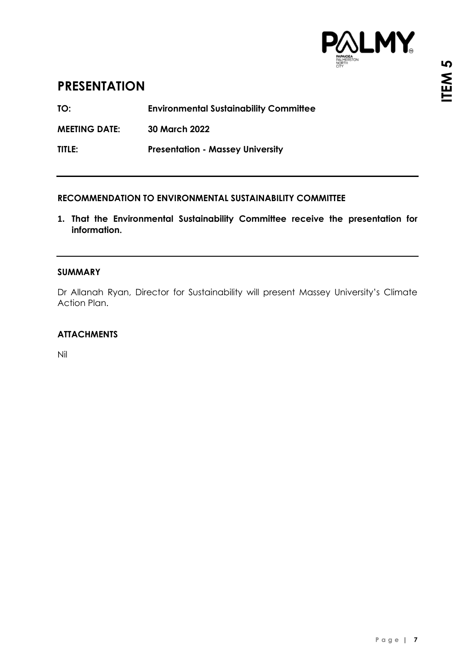

### <span id="page-6-0"></span>**PRESENTATION**

**TO: Environmental Sustainability Committee**

**MEETING DATE: 30 March 2022**

**TITLE: Presentation - Massey University**

#### **RECOMMENDATION TO ENVIRONMENTAL SUSTAINABILITY COMMITTEE**

**1. That the Environmental Sustainability Committee receive the presentation for information.**

#### **SUMMARY**

Dr Allanah Ryan, Director for Sustainability will present Massey University's Climate Action Plan.

#### **ATTACHMENTS**

Nil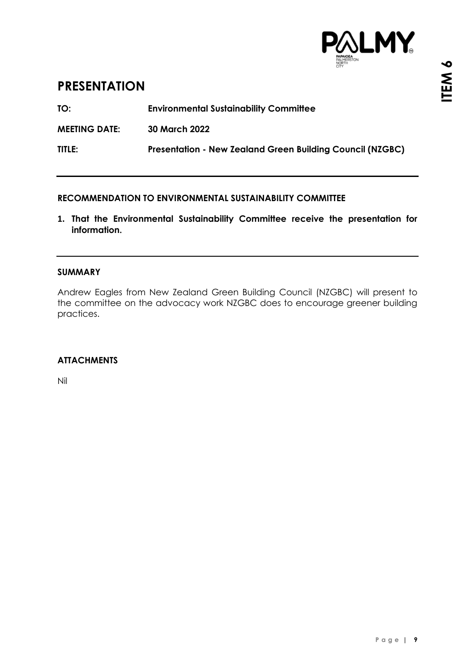

### <span id="page-8-0"></span>**PRESENTATION**

**TO: Environmental Sustainability Committee**

**MEETING DATE: 30 March 2022**

**TITLE: Presentation - New Zealand Green Building Council (NZGBC)**

#### **RECOMMENDATION TO ENVIRONMENTAL SUSTAINABILITY COMMITTEE**

**1. That the Environmental Sustainability Committee receive the presentation for information.**

#### **SUMMARY**

Andrew Eagles from New Zealand Green Building Council (NZGBC) will present to the committee on the advocacy work NZGBC does to encourage greener building practices.

#### **ATTACHMENTS**

Nil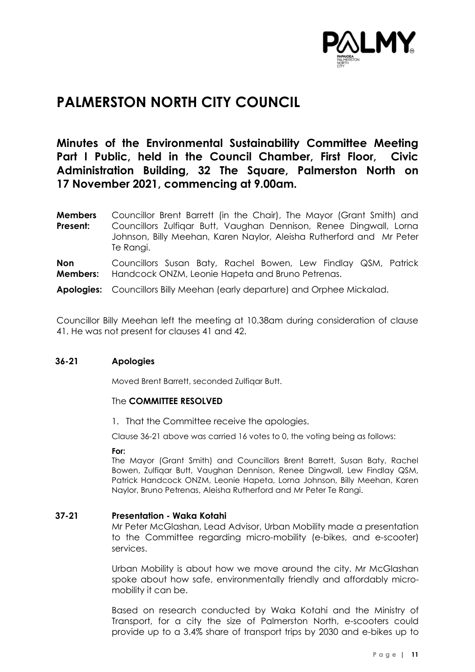

## <span id="page-10-0"></span>**PALMERSTON NORTH CITY COUNCIL**

### **Minutes of the Environmental Sustainability Committee Meeting Part I Public, held in the Council Chamber, First Floor, Civic Administration Building, 32 The Square, Palmerston North on 17 November 2021, commencing at 9.00am.**

**Members Present:** Councillor Brent Barrett (in the Chair), The Mayor (Grant Smith) and Councillors Zulfiqar Butt, Vaughan Dennison, Renee Dingwall, Lorna Johnson, Billy Meehan, Karen Naylor, Aleisha Rutherford and Mr Peter Te Rangi.

**Non Members:** Councillors Susan Baty, Rachel Bowen, Lew Findlay QSM, Patrick Handcock ONZM, Leonie Hapeta and Bruno Petrenas.

**Apologies:** Councillors Billy Meehan (early departure) and Orphee Mickalad.

Councillor Billy Meehan left the meeting at 10.38am during consideration of clause 41. He was not present for clauses 41 and 42.

#### **36-21 Apologies**

Moved Brent Barrett, seconded Zulfiqar Butt.

#### The **COMMITTEE RESOLVED**

1. That the Committee receive the apologies.

Clause 36-21 above was carried 16 votes to 0, the voting being as follows:

#### **For:**

The Mayor (Grant Smith) and Councillors Brent Barrett, Susan Baty, Rachel Bowen, Zulfiqar Butt, Vaughan Dennison, Renee Dingwall, Lew Findlay QSM, Patrick Handcock ONZM, Leonie Hapeta, Lorna Johnson, Billy Meehan, Karen Naylor, Bruno Petrenas, Aleisha Rutherford and Mr Peter Te Rangi.

#### **37-21 Presentation - Waka Kotahi**

Mr Peter McGlashan, Lead Advisor, Urban Mobility made a presentation to the Committee regarding micro-mobility (e-bikes, and e-scooter) services.

Urban Mobility is about how we move around the city. Mr McGlashan spoke about how safe, environmentally friendly and affordably micromobility it can be.

Based on research conducted by Waka Kotahi and the Ministry of Transport, for a city the size of Palmerston North, e-scooters could provide up to a 3.4% share of transport trips by 2030 and e-bikes up to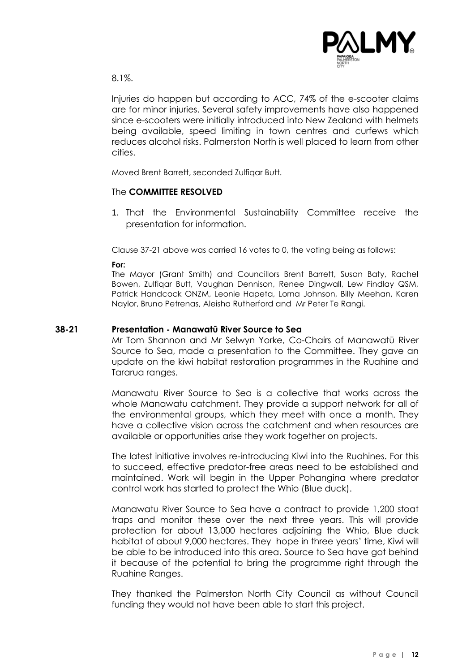

8.1%.

Injuries do happen but according to ACC, 74% of the e-scooter claims are for minor injuries. Several safety improvements have also happened since e-scooters were initially introduced into New Zealand with helmets being available, speed limiting in town centres and curfews which reduces alcohol risks. Palmerston North is well placed to learn from other cities.

Moved Brent Barrett, seconded Zulfiqar Butt.

#### The **COMMITTEE RESOLVED**

1. That the Environmental Sustainability Committee receive the presentation for information.

Clause 37-21 above was carried 16 votes to 0, the voting being as follows:

**For:**

The Mayor (Grant Smith) and Councillors Brent Barrett, Susan Baty, Rachel Bowen, Zulfiqar Butt, Vaughan Dennison, Renee Dingwall, Lew Findlay QSM, Patrick Handcock ONZM, Leonie Hapeta, Lorna Johnson, Billy Meehan, Karen Naylor, Bruno Petrenas, Aleisha Rutherford and Mr Peter Te Rangi.

#### **38-21 Presentation - Manawatū River Source to Sea**

Mr Tom Shannon and Mr Selwyn Yorke, Co-Chairs of Manawatū River Source to Sea, made a presentation to the Committee. They gave an update on the kiwi habitat restoration programmes in the Ruahine and Tararua ranges.

Manawatu River Source to Sea is a collective that works across the whole Manawatu catchment. They provide a support network for all of the environmental groups, which they meet with once a month. They have a collective vision across the catchment and when resources are available or opportunities arise they work together on projects.

The latest initiative involves re-introducing Kiwi into the Ruahines. For this to succeed, effective predator-free areas need to be established and maintained. Work will begin in the Upper Pohangina where predator control work has started to protect the Whio (Blue duck).

Manawatu River Source to Sea have a contract to provide 1,200 stoat traps and monitor these over the next three years. This will provide protection for about 13,000 hectares adjoining the Whio, Blue duck habitat of about 9,000 hectares. They hope in three years' time, Kiwi will be able to be introduced into this area. Source to Sea have got behind it because of the potential to bring the programme right through the Ruahine Ranges.

They thanked the Palmerston North City Council as without Council funding they would not have been able to start this project.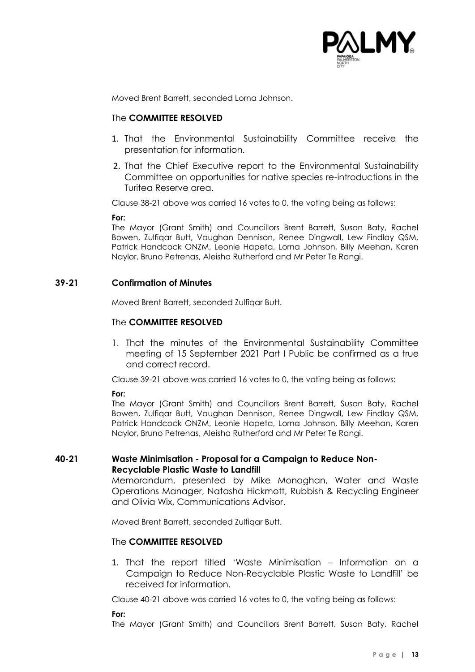

Moved Brent Barrett, seconded Lorna Johnson.

#### The **COMMITTEE RESOLVED**

- 1. That the Environmental Sustainability Committee receive the presentation for information.
- 2. That the Chief Executive report to the Environmental Sustainability Committee on opportunities for native species re-introductions in the Turitea Reserve area.

Clause 38-21 above was carried 16 votes to 0, the voting being as follows:

#### **For:**

The Mayor (Grant Smith) and Councillors Brent Barrett, Susan Baty, Rachel Bowen, Zulfiqar Butt, Vaughan Dennison, Renee Dingwall, Lew Findlay QSM, Patrick Handcock ONZM, Leonie Hapeta, Lorna Johnson, Billy Meehan, Karen Naylor, Bruno Petrenas, Aleisha Rutherford and Mr Peter Te Rangi.

#### **39-21 Confirmation of Minutes**

Moved Brent Barrett, seconded Zulfiqar Butt.

#### The **COMMITTEE RESOLVED**

1. That the minutes of the Environmental Sustainability Committee meeting of 15 September 2021 Part I Public be confirmed as a true and correct record.

Clause 39-21 above was carried 16 votes to 0, the voting being as follows:

**For:**

The Mayor (Grant Smith) and Councillors Brent Barrett, Susan Baty, Rachel Bowen, Zulfiqar Butt, Vaughan Dennison, Renee Dingwall, Lew Findlay QSM, Patrick Handcock ONZM, Leonie Hapeta, Lorna Johnson, Billy Meehan, Karen Naylor, Bruno Petrenas, Aleisha Rutherford and Mr Peter Te Rangi.

#### **40-21 Waste Minimisation - Proposal for a Campaign to Reduce Non-Recyclable Plastic Waste to Landfill**

Memorandum, presented by Mike Monaghan, Water and Waste Operations Manager, Natasha Hickmott, Rubbish & Recycling Engineer and Olivia Wix, Communications Advisor.

Moved Brent Barrett, seconded Zulfiqar Butt.

#### The **COMMITTEE RESOLVED**

1. That the report titled 'Waste Minimisation – Information on a Campaign to Reduce Non-Recyclable Plastic Waste to Landfill' be received for information.

Clause 40-21 above was carried 16 votes to 0, the voting being as follows:

**For:**

The Mayor (Grant Smith) and Councillors Brent Barrett, Susan Baty, Rachel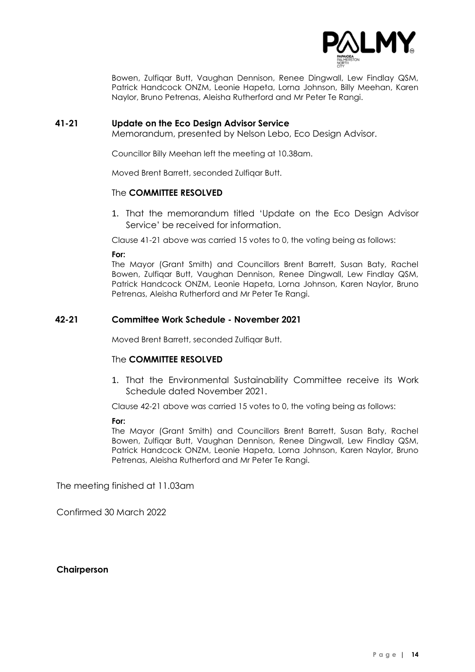

Bowen, Zulfiqar Butt, Vaughan Dennison, Renee Dingwall, Lew Findlay QSM, Patrick Handcock ONZM, Leonie Hapeta, Lorna Johnson, Billy Meehan, Karen Naylor, Bruno Petrenas, Aleisha Rutherford and Mr Peter Te Rangi.

#### **41-21 Update on the Eco Design Advisor Service**

Memorandum, presented by Nelson Lebo, Eco Design Advisor.

Councillor Billy Meehan left the meeting at 10.38am.

Moved Brent Barrett, seconded Zulfiqar Butt.

#### The **COMMITTEE RESOLVED**

1. That the memorandum titled 'Update on the Eco Design Advisor Service' be received for information.

Clause 41-21 above was carried 15 votes to 0, the voting being as follows:

**For:**

The Mayor (Grant Smith) and Councillors Brent Barrett, Susan Baty, Rachel Bowen, Zulfiqar Butt, Vaughan Dennison, Renee Dingwall, Lew Findlay QSM, Patrick Handcock ONZM, Leonie Hapeta, Lorna Johnson, Karen Naylor, Bruno Petrenas, Aleisha Rutherford and Mr Peter Te Rangi.

#### **42-21 Committee Work Schedule - November 2021**

Moved Brent Barrett, seconded Zulfigar Butt.

#### The **COMMITTEE RESOLVED**

1. That the Environmental Sustainability Committee receive its Work Schedule dated November 2021.

Clause 42-21 above was carried 15 votes to 0, the voting being as follows:

#### **For:**

The Mayor (Grant Smith) and Councillors Brent Barrett, Susan Baty, Rachel Bowen, Zulfiqar Butt, Vaughan Dennison, Renee Dingwall, Lew Findlay QSM, Patrick Handcock ONZM, Leonie Hapeta, Lorna Johnson, Karen Naylor, Bruno Petrenas, Aleisha Rutherford and Mr Peter Te Rangi.

The meeting finished at 11.03am

Confirmed 30 March 2022

#### **Chairperson**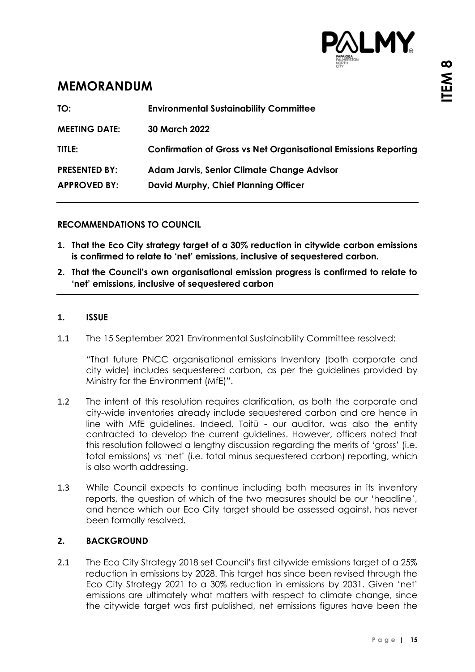

### <span id="page-14-0"></span>**MEMORANDUM**

| TO:                  | <b>Environmental Sustainability Committee</b>                          |
|----------------------|------------------------------------------------------------------------|
| <b>MEETING DATE:</b> | <b>30 March 2022</b>                                                   |
| TITLE:               | <b>Confirmation of Gross vs Net Organisational Emissions Reporting</b> |
| <b>PRESENTED BY:</b> | <b>Adam Jarvis, Senior Climate Change Advisor</b>                      |
| <b>APPROVED BY:</b>  | David Murphy, Chief Planning Officer                                   |
|                      |                                                                        |

#### **RECOMMENDATIONS TO COUNCIL**

- **1. That the Eco City strategy target of a 30% reduction in citywide carbon emissions is confirmed to relate to 'net' emissions, inclusive of sequestered carbon.**
- **2. That the Council's own organisational emission progress is confirmed to relate to 'net' emissions, inclusive of sequestered carbon**

#### **1. ISSUE**

1.1 The 15 September 2021 Environmental Sustainability Committee resolved:

"That future PNCC organisational emissions Inventory (both corporate and city wide) includes sequestered carbon, as per the guidelines provided by Ministry for the Environment (MfE)".

- 1.2 The intent of this resolution requires clarification, as both the corporate and city-wide inventories already include sequestered carbon and are hence in line with MfE guidelines. Indeed, Toitū - our auditor, was also the entity contracted to develop the current guidelines. However, officers noted that this resolution followed a lengthy discussion regarding the merits of 'gross' (i.e. total emissions) vs 'net' (i.e. total minus sequestered carbon) reporting, which is also worth addressing.
- 1.3 While Council expects to continue including both measures in its inventory reports, the question of which of the two measures should be our 'headline', and hence which our Eco City target should be assessed against, has never been formally resolved.

#### **2. BACKGROUND**

2.1 The Eco City Strategy 2018 set Council's first citywide emissions target of a 25% reduction in emissions by 2028. This target has since been revised through the Eco City Strategy 2021 to a 30% reduction in emissions by 2031. Given 'net' emissions are ultimately what matters with respect to climate change, since the citywide target was first published, net emissions figures have been the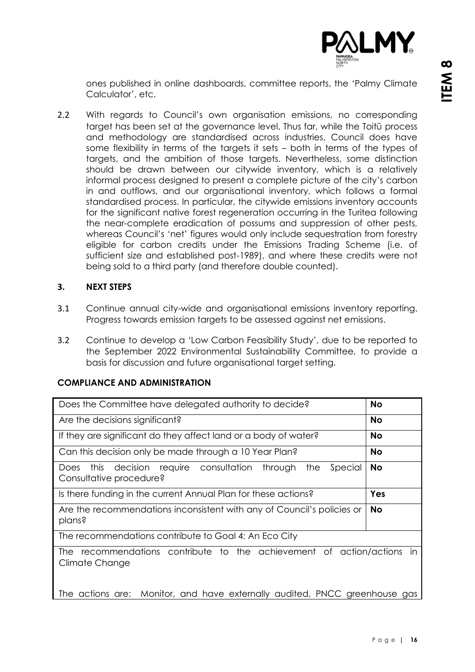

ones published in online dashboards, committee reports, the 'Palmy Climate Calculator', etc.

2.2 With regards to Council's own organisation emissions, no corresponding target has been set at the governance level. Thus far, while the Toitū process and methodology are standardised across industries, Council does have some flexibility in terms of the targets it sets – both in terms of the types of targets, and the ambition of those targets. Nevertheless, some distinction should be drawn between our citywide inventory, which is a relatively informal process designed to present a complete picture of the city's carbon in and outflows, and our organisational inventory, which follows a formal standardised process. In particular, the citywide emissions inventory accounts for the significant native forest regeneration occurring in the Turitea following the near-complete eradication of possums and suppression of other pests, whereas Council's 'net' figures would only include sequestration from forestry eligible for carbon credits under the Emissions Trading Scheme (i.e. of sufficient size and established post-1989), and where these credits were not being sold to a third party (and therefore double counted).

#### **3. NEXT STEPS**

- 3.1 Continue annual city-wide and organisational emissions inventory reporting. Progress towards emission targets to be assessed against net emissions.
- 3.2 Continue to develop a 'Low Carbon Feasibility Study', due to be reported to the September 2022 Environmental Sustainability Committee, to provide a basis for discussion and future organisational target setting.

#### **COMPLIANCE AND ADMINISTRATION**

| Does the Committee have delegated authority to decide?                                             | <b>No</b> |
|----------------------------------------------------------------------------------------------------|-----------|
| Are the decisions significant?                                                                     | <b>No</b> |
| If they are significant do they affect land or a body of water?                                    | <b>No</b> |
| Can this decision only be made through a 10 Year Plan?                                             | <b>No</b> |
| decision require consultation through<br>Special<br>this<br>the<br>Does<br>Consultative procedure? | <b>No</b> |
| Is there funding in the current Annual Plan for these actions?                                     | Yes       |
| Are the recommendations inconsistent with any of Council's policies or<br>plans?                   | <b>No</b> |
| The recommendations contribute to Goal 4: An Eco City                                              |           |
| recommendations contribute to the achievement of action/actions in<br>The<br>Climate Change        |           |
| The actions are: Monitor, and have externally audited, PNCC greenhouse gas                         |           |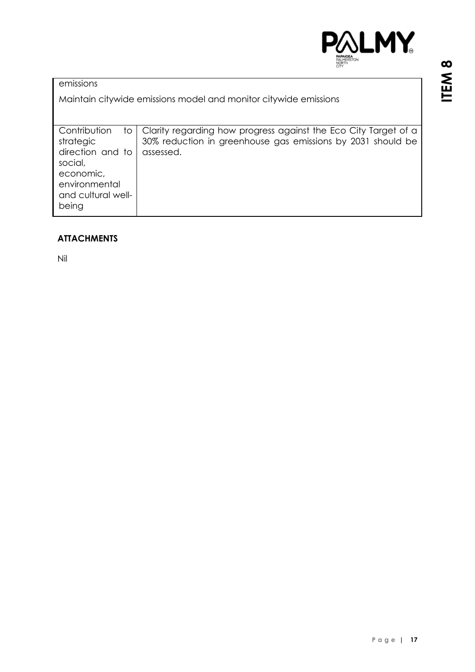

#### **ATTACHMENTS**

Nil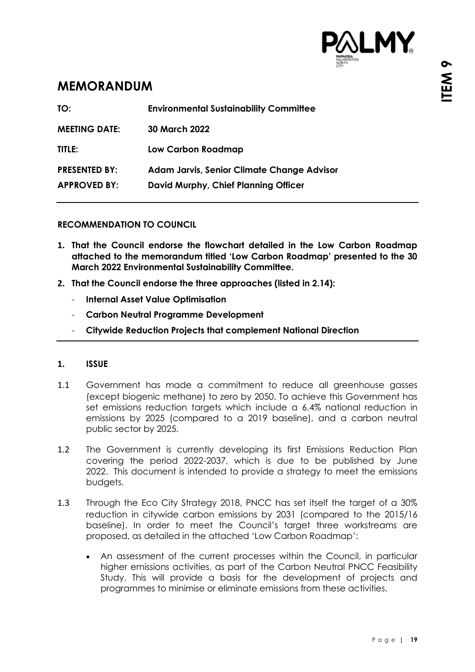

### <span id="page-18-0"></span>**MEMORANDUM**

| <b>30 March 2022</b><br><b>MEETING DATE:</b><br>TITLE:<br><b>Low Carbon Roadmap</b><br><b>PRESENTED BY:</b><br><b>Adam Jarvis, Senior Climate Change Advisor</b><br><b>APPROVED BY:</b><br>David Murphy, Chief Planning Officer | TO: | <b>Environmental Sustainability Committee</b> |
|---------------------------------------------------------------------------------------------------------------------------------------------------------------------------------------------------------------------------------|-----|-----------------------------------------------|
|                                                                                                                                                                                                                                 |     |                                               |
|                                                                                                                                                                                                                                 |     |                                               |
|                                                                                                                                                                                                                                 |     |                                               |

#### **RECOMMENDATION TO COUNCIL**

- **1. That the Council endorse the flowchart detailed in the Low Carbon Roadmap attached to the memorandum titled 'Low Carbon Roadmap' presented to the 30 March 2022 Environmental Sustainability Committee.**
- **2. That the Council endorse the three approaches (listed in 2.14):**
	- **Internal Asset Value Optimisation**
	- **Carbon Neutral Programme Development**
	- **Citywide Reduction Projects that complement National Direction**

#### **1. ISSUE**

- 1.1 Government has made a commitment to reduce all greenhouse gasses (except biogenic methane) to zero by 2050. To achieve this Government has set emissions reduction targets which include a 6.4% national reduction in emissions by 2025 (compared to a 2019 baseline), and a carbon neutral public sector by 2025.
- 1.2 The Government is currently developing its first Emissions Reduction Plan covering the period 2022-2037, which is due to be published by June 2022. This document is intended to provide a strategy to meet the emissions budgets.
- 1.3 Through the Eco City Strategy 2018, PNCC has set itself the target of a 30% reduction in citywide carbon emissions by 2031 (compared to the 2015/16 baseline). In order to meet the Council's target three workstreams are proposed, as detailed in the attached 'Low Carbon Roadmap':
	- An assessment of the current processes within the Council, in particular higher emissions activities, as part of the Carbon Neutral PNCC Feasibility Study. This will provide a basis for the development of projects and programmes to minimise or eliminate emissions from these activities.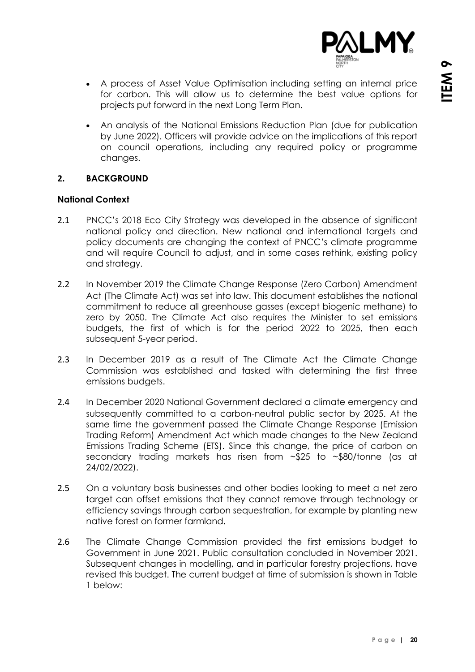

- A process of Asset Value Optimisation including setting an internal price for carbon. This will allow us to determine the best value options for projects put forward in the next Long Term Plan.
- An analysis of the National Emissions Reduction Plan (due for publication by June 2022). Officers will provide advice on the implications of this report on council operations, including any required policy or programme changes.

#### **2. BACKGROUND**

#### **National Context**

- 2.1 PNCC's 2018 Eco City Strategy was developed in the absence of significant national policy and direction. New national and international targets and policy documents are changing the context of PNCC's climate programme and will require Council to adjust, and in some cases rethink, existing policy and strategy.
- 2.2 In November 2019 the Climate Change Response (Zero Carbon) Amendment Act (The Climate Act) was set into law. This document establishes the national commitment to reduce all greenhouse gasses (except biogenic methane) to zero by 2050. The Climate Act also requires the Minister to set emissions budgets, the first of which is for the period 2022 to 2025, then each subsequent 5-year period.
- 2.3 In December 2019 as a result of The Climate Act the Climate Change Commission was established and tasked with determining the first three emissions budgets.
- 2.4 In December 2020 National Government declared a climate emergency and subsequently committed to a carbon-neutral public sector by 2025. At the same time the government passed the Climate Change Response (Emission Trading Reform) Amendment Act which made changes to the New Zealand Emissions Trading Scheme (ETS). Since this change, the price of carbon on secondary trading markets has risen from ~\$25 to ~\$80/tonne (as at 24/02/2022).
- 2.5 On a voluntary basis businesses and other bodies looking to meet a net zero target can offset emissions that they cannot remove through technology or efficiency savings through carbon sequestration, for example by planting new native forest on former farmland.
- 2.6 The Climate Change Commission provided the first emissions budget to Government in June 2021. Public consultation concluded in November 2021. Subsequent changes in modelling, and in particular forestry projections, have revised this budget. The current budget at time of submission is shown in Table 1 below: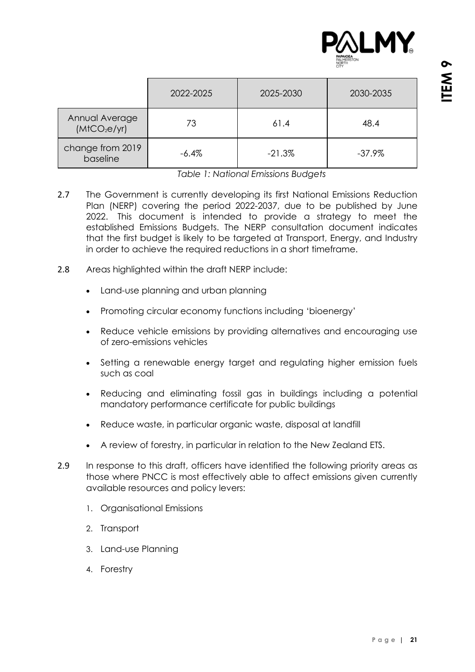

|                                            | 2022-2025 | 2025-2030 | 2030-2035 |
|--------------------------------------------|-----------|-----------|-----------|
| Annual Average<br>(MtCO <sub>2</sub> e/yr) | 73        | 61.4      | 48.4      |
| change from 2019<br>baseline               | $-6.4%$   | $-21.3%$  | $-37.9\%$ |

*Table 1: National Emissions Budgets*

- 2.7 The Government is currently developing its first National Emissions Reduction Plan (NERP) covering the period 2022-2037, due to be published by June 2022. This document is intended to provide a strategy to meet the established Emissions Budgets. The NERP consultation document indicates that the first budget is likely to be targeted at Transport, Energy, and Industry in order to achieve the required reductions in a short timeframe.
- 2.8 Areas highlighted within the draft NERP include:
	- Land-use planning and urban planning
	- Promoting circular economy functions including 'bioenergy'
	- Reduce vehicle emissions by providing alternatives and encouraging use of zero-emissions vehicles
	- Setting a renewable energy target and regulating higher emission fuels such as coal
	- Reducing and eliminating fossil gas in buildings including a potential mandatory performance certificate for public buildings
	- Reduce waste, in particular organic waste, disposal at landfill
	- A review of forestry, in particular in relation to the New Zealand ETS.
- 2.9 In response to this draft, officers have identified the following priority areas as those where PNCC is most effectively able to affect emissions given currently available resources and policy levers:
	- 1. Organisational Emissions
	- 2. Transport
	- 3. Land-use Planning
	- 4. Forestry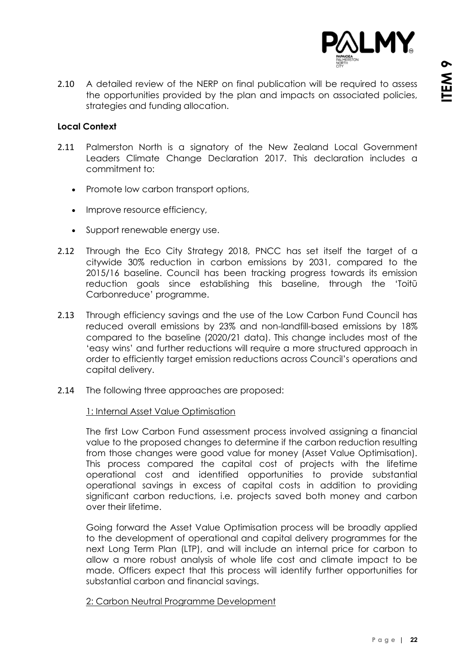

2.10 A detailed review of the NERP on final publication will be required to assess the opportunities provided by the plan and impacts on associated policies, strategies and funding allocation.

#### **Local Context**

- 2.11 Palmerston North is a signatory of the New Zealand Local Government Leaders Climate Change Declaration 2017. This declaration includes a commitment to:
	- Promote low carbon transport options,
	- Improve resource efficiency,
	- Support renewable energy use.
- 2.12 Through the Eco City Strategy 2018, PNCC has set itself the target of a citywide 30% reduction in carbon emissions by 2031, compared to the 2015/16 baseline. Council has been tracking progress towards its emission reduction goals since establishing this baseline, through the 'Toitū Carbonreduce' programme.
- 2.13 Through efficiency savings and the use of the Low Carbon Fund Council has reduced overall emissions by 23% and non-landfill-based emissions by 18% compared to the baseline (2020/21 data). This change includes most of the 'easy wins' and further reductions will require a more structured approach in order to efficiently target emission reductions across Council's operations and capital delivery.
- 2.14 The following three approaches are proposed:

#### 1: Internal Asset Value Optimisation

The first Low Carbon Fund assessment process involved assigning a financial value to the proposed changes to determine if the carbon reduction resulting from those changes were good value for money (Asset Value Optimisation). This process compared the capital cost of projects with the lifetime operational cost and identified opportunities to provide substantial operational savings in excess of capital costs in addition to providing significant carbon reductions, i.e. projects saved both money and carbon over their lifetime.

Going forward the Asset Value Optimisation process will be broadly applied to the development of operational and capital delivery programmes for the next Long Term Plan (LTP), and will include an internal price for carbon to allow a more robust analysis of whole life cost and climate impact to be made. Officers expect that this process will identify further opportunities for substantial carbon and financial savings.

#### 2: Carbon Neutral Programme Development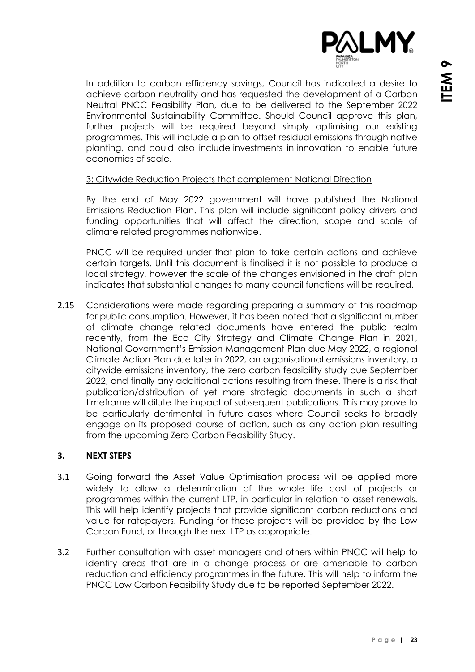

In addition to carbon efficiency savings, Council has indicated a desire to achieve carbon neutrality and has requested the development of a Carbon Neutral PNCC Feasibility Plan, due to be delivered to the September 2022 Environmental Sustainability Committee. Should Council approve this plan, further projects will be required beyond simply optimising our existing programmes. This will include a plan to offset residual emissions through native planting, and could also include investments in innovation to enable future economies of scale.

#### 3: Citywide Reduction Projects that complement National Direction

By the end of May 2022 government will have published the National Emissions Reduction Plan. This plan will include significant policy drivers and funding opportunities that will affect the direction, scope and scale of climate related programmes nationwide.

PNCC will be required under that plan to take certain actions and achieve certain targets. Until this document is finalised it is not possible to produce a local strategy, however the scale of the changes envisioned in the draft plan indicates that substantial changes to many council functions will be required.

2.15 Considerations were made regarding preparing a summary of this roadmap for public consumption. However, it has been noted that a significant number of climate change related documents have entered the public realm recently, from the Eco City Strategy and Climate Change Plan in 2021, National Government's Emission Management Plan due May 2022, a regional Climate Action Plan due later in 2022, an organisational emissions inventory, a citywide emissions inventory, the zero carbon feasibility study due September 2022, and finally any additional actions resulting from these. There is a risk that publication/distribution of yet more strategic documents in such a short timeframe will dilute the impact of subsequent publications. This may prove to be particularly detrimental in future cases where Council seeks to broadly engage on its proposed course of action, such as any action plan resulting from the upcoming Zero Carbon Feasibility Study.

#### **3. NEXT STEPS**

- 3.1 Going forward the Asset Value Optimisation process will be applied more widely to allow a determination of the whole life cost of projects or programmes within the current LTP, in particular in relation to asset renewals. This will help identify projects that provide significant carbon reductions and value for ratepayers. Funding for these projects will be provided by the Low Carbon Fund, or through the next LTP as appropriate.
- 3.2 Further consultation with asset managers and others within PNCC will help to identify areas that are in a change process or are amenable to carbon reduction and efficiency programmes in the future. This will help to inform the PNCC Low Carbon Feasibility Study due to be reported September 2022.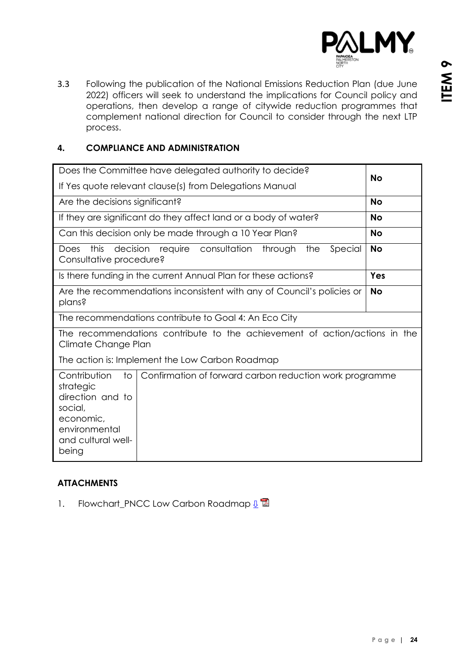

3.3 Following the publication of the National Emissions Reduction Plan (due June 2022) officers will seek to understand the implications for Council policy and operations, then develop a range of citywide reduction programmes that complement national direction for Council to consider through the next LTP process.

#### **4. COMPLIANCE AND ADMINISTRATION**

| Does the Committee have delegated authority to decide?                                                                      | <b>No</b>                                                              |           |  |  |
|-----------------------------------------------------------------------------------------------------------------------------|------------------------------------------------------------------------|-----------|--|--|
| If Yes quote relevant clause(s) from Delegations Manual                                                                     |                                                                        |           |  |  |
| Are the decisions significant?                                                                                              |                                                                        | <b>No</b> |  |  |
|                                                                                                                             | If they are significant do they affect land or a body of water?        | <b>No</b> |  |  |
|                                                                                                                             | Can this decision only be made through a 10 Year Plan?                 | <b>No</b> |  |  |
| this<br>Does<br>Consultative procedure?                                                                                     | decision require consultation through<br>the<br>Special                | <b>No</b> |  |  |
|                                                                                                                             | Is there funding in the current Annual Plan for these actions?         | Yes       |  |  |
| plans?                                                                                                                      | Are the recommendations inconsistent with any of Council's policies or | <b>No</b> |  |  |
|                                                                                                                             | The recommendations contribute to Goal 4: An Eco City                  |           |  |  |
| The recommendations contribute to the achievement of action/actions in the<br>Climate Change Plan                           |                                                                        |           |  |  |
| The action is: Implement the Low Carbon Roadmap                                                                             |                                                                        |           |  |  |
| Contribution<br>to<br>strategic<br>direction and to<br>social,<br>economic,<br>environmental<br>and cultural well-<br>being | Confirmation of forward carbon reduction work programme                |           |  |  |

#### **ATTACHMENTS**

1. Flowchart\_PNCC Low Carbon Roadmap  $\mathbf{L}^{\mathbf{Z}}$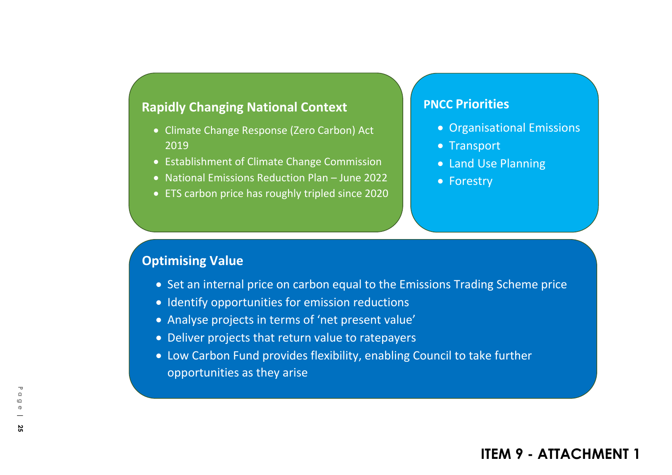### <span id="page-24-0"></span>**Rapidly Changing National Context**

- Climate Change Response (Zero Carbon) Act 2019
- Establishment of Climate Change Commission
- National Emissions Reduction Plan June 2022
- ETS carbon price has roughly tripled since 2020

### **PNCC Priorities**

- Organisational Emissions
- Transport
- Land Use Planning
- Forestry

### **Optimising Value**

- Set an internal price on carbon equal to the Emissions Trading Scheme price
- Identify opportunities for emission reductions
- Analyse projects in terms of 'net present value'
- Deliver projects that return value to ratepayers
- Low Carbon Fund provides flexibility, enabling Council to take further opportunities as they arise

# **ITEM 9 - ATTACHMENT 1**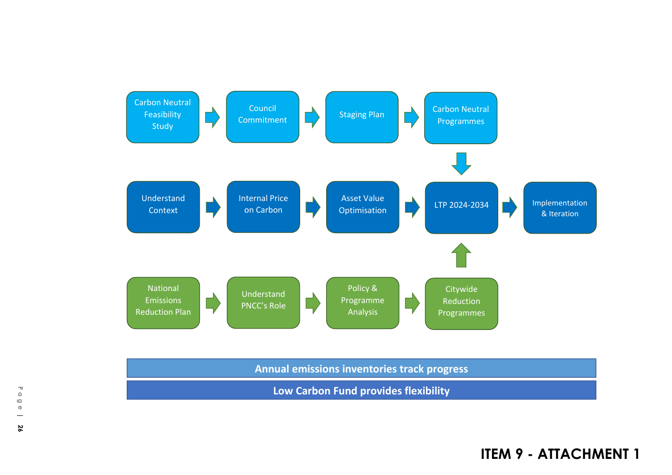

**ITEM 9 - ATTACHMENT 1**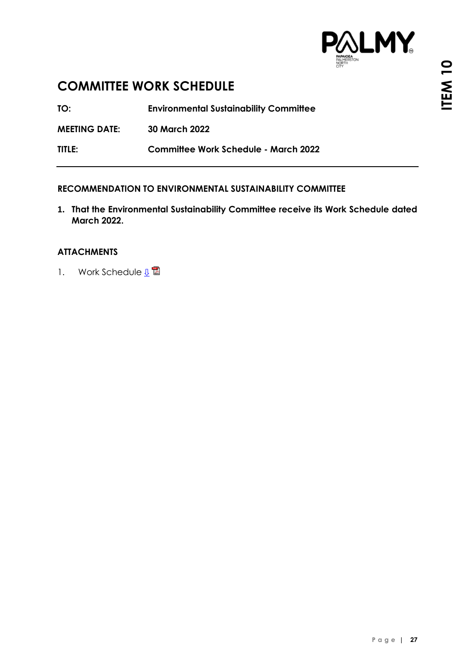

### <span id="page-26-0"></span>**COMMITTEE WORK SCHEDULE**

**TO: Environmental Sustainability Committee**

**MEETING DATE: 30 March 2022**

**TITLE: Committee Work Schedule - March 2022**

#### **RECOMMENDATION TO ENVIRONMENTAL SUSTAINABILITY COMMITTEE**

**1. That the Environmental Sustainability Committee receive its Work Schedule dated March 2022.**

#### **ATTACHMENTS**

1. Work Schedule  $\mathbb{L}^{\square}$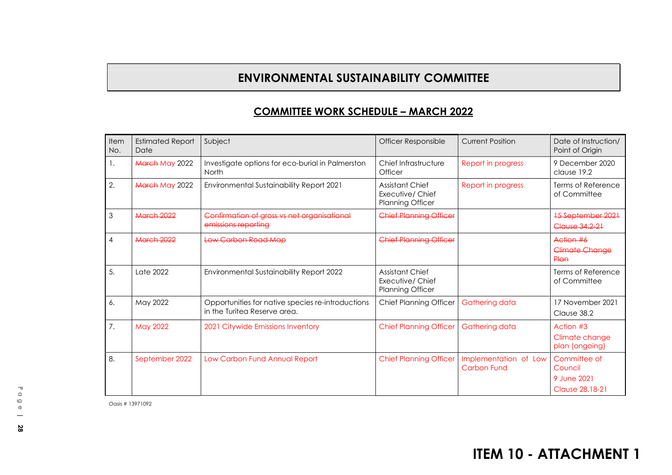# **ENVIRONMENTAL SUSTAINABILITY COMMITTEE**

# **COMMITTEE WORK SCHEDULE – MARCH <sup>2022</sup>**

<span id="page-27-0"></span>

| Item<br>No.    | <b>Estimated Report</b><br>Date | Subject                                                                           | Officer Responsible                                                   | <b>Current Position</b>                     | Date of Instruction/<br>Point of Origin                    |
|----------------|---------------------------------|-----------------------------------------------------------------------------------|-----------------------------------------------------------------------|---------------------------------------------|------------------------------------------------------------|
| $\mathbf{1}$ . | <b>March May 2022</b>           | Investigate options for eco-burial in Palmerston<br>North                         | Chief Infrastructure<br>Officer                                       | Report in progress                          | 9 December 2020<br>clause 19.2                             |
| 2.             | <b>March May 2022</b>           | Environmental Sustainability Report 2021                                          | Assistant Chief<br>Executive/ Chief<br><b>Planning Officer</b>        | Report in progress                          | Terms of Reference<br>of Committee                         |
| 3              | March 2022                      | Confirmation of gross vs net organisational<br>emissions reporting                | <b>Chief Planning Officer</b>                                         |                                             | <b>15 September 2021</b><br>Clause 34, 2-21                |
| 4              | March 2022                      | Low Carbon Road Map                                                               | <b>Chief Planning Officer</b>                                         |                                             | Action #6<br>Climate Change<br>Plan                        |
| 5.             | Late 2022                       | Environmental Sustainability Report 2022                                          | <b>Assistant Chief</b><br>Executive/ Chief<br><b>Planning Officer</b> |                                             | Terms of Reference<br>of Committee                         |
| 6.             | May 2022                        | Opportunities for native species re-introductions<br>in the Turitea Reserve area. | <b>Chief Planning Officer</b>                                         | Gathering data                              | 17 November 2021<br>Clause 38.2                            |
| 7.             | <b>May 2022</b>                 | 2021 Citywide Emissions Inventory                                                 | <b>Chief Planning Officer</b>                                         | Gathering data                              | Action #3<br>Climate change<br>plan (ongoing)              |
| 8.             | September 2022                  | Low Carbon Fund Annual Report                                                     | <b>Chief Planning Officer</b>                                         | Implementation of Low<br><b>Carbon Fund</b> | Committee of<br>Council<br>9 June 2021<br>Clause 28, 18-21 |

Oasis # <sup>13971092</sup>

# **ITEM 10 - ATTACHMENT 1**